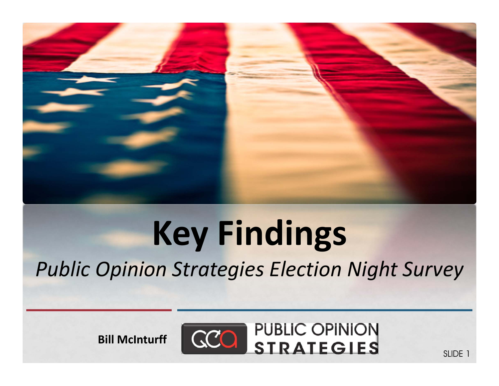

### **Key Findings** *Public Opinion Strategies Election Night Survey*

**Bill McInturff**



SLIDE 1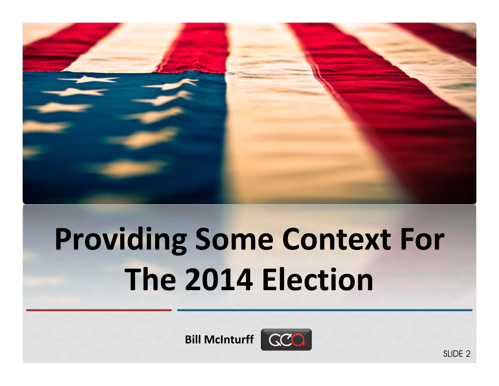

# **Providing Some Context For The 2014 Election**

**Bill McInturff**

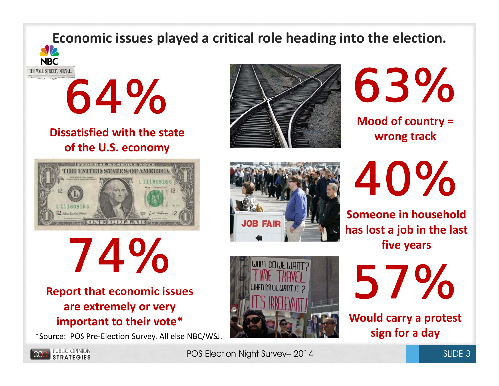### **Economic issues played <sup>a</sup> critical role heading into the election.**



*64%*

#### **Dissatisfied with the state of the U.S. economy**



*74%*

#### **Report that economic issues are extremely or very important to their vote\***

\*Source: POS Pre‐Election Survey. All else NBC/WSJ. **sign for <sup>a</sup> day**





**Mood of country <sup>=</sup> wrong track**

*40%*

**Someone in household has lost a job in the last five years**



*57%*

**Would carry <sup>a</sup> protest**



POS Election Night Survey– 2014

**JOB FAIR**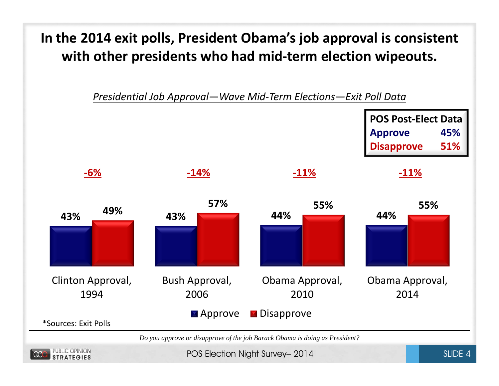#### **In the 2014 exit polls, President Obama's job approval is consistent with other presidents who had mid‐term election wipeouts.**



POS Election Night Survey– 2014 Survey and SLIDE 4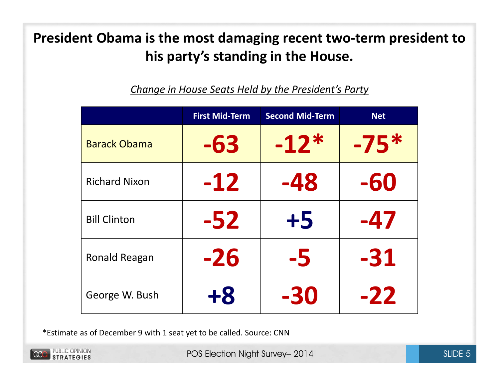#### **President Obama is the most damaging recent two‐term president to his party's standing in the House.**

|                      | <b>First Mid-Term</b> | <b>Second Mid-Term</b> | <b>Net</b> |
|----------------------|-----------------------|------------------------|------------|
| <b>Barack Obama</b>  | -63                   | $-12*$                 | $-75*$     |
| <b>Richard Nixon</b> | $-12$                 | -48                    | -60        |
| <b>Bill Clinton</b>  | $-52$                 | $+5$                   | -47        |
| Ronald Reagan        | $-26$                 | -5                     | $-31$      |
| George W. Bush       | $+8$                  | -30                    | $-22$      |

*Change in House Seats Held by the President's Party*

\*Estimate as of December 9 with 1 seat yet to be called. Source: CNN

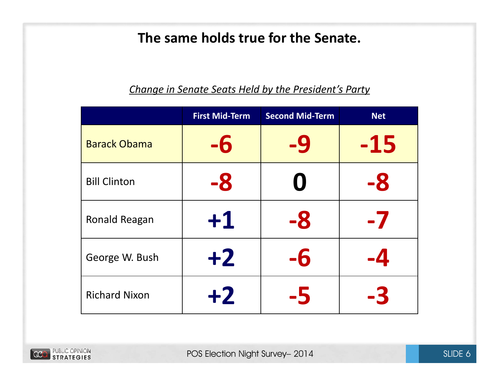#### **The same holds true for the Senate.**

|                      | <b>First Mid-Term</b> | <b>Second Mid-Term</b> | <b>Net</b>         |
|----------------------|-----------------------|------------------------|--------------------|
| <b>Barack Obama</b>  | -6                    | -9                     | $-15$              |
| <b>Bill Clinton</b>  | -8                    | O                      | -8                 |
| Ronald Reagan        | $+1$                  | -8                     | -7                 |
| George W. Bush       | $+2$                  | -6                     | $\cdot \mathbf{4}$ |
| <b>Richard Nixon</b> | $+2$                  |                        | -3                 |

#### *Change in Senate Seats Held by the President's Party*

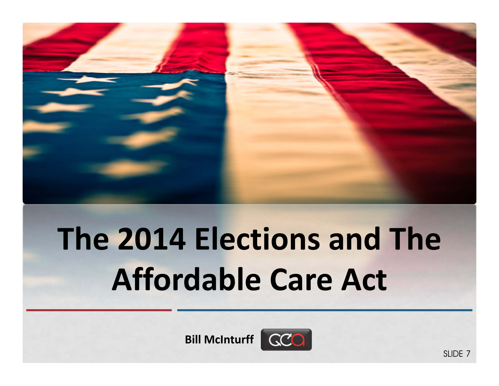

# **The 2014 Elections and The Affordable Care Act**

**Bill McInturff**

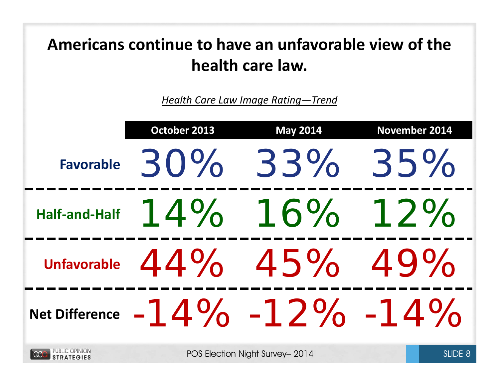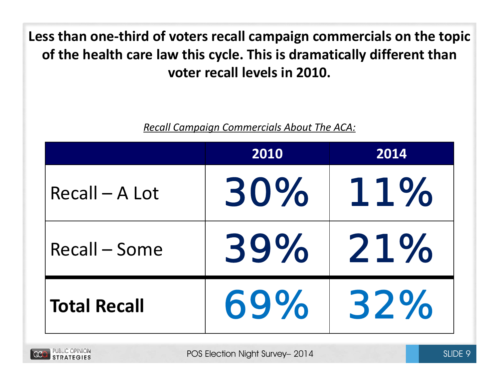**Less than one‐third of voters recall campaign commercials on the topic of the health care law this cycle. This is dramatically different than voter recall levels in 2010.**

*Recall Campaign Commercials About The ACA:*

|                     | 2010 | 2014 |
|---------------------|------|------|
| $Recall - A Lot$    | 30%  | 11%  |
| Recall – Some       | 39%  | 21%  |
| <b>Total Recall</b> | 69%  | 32%  |

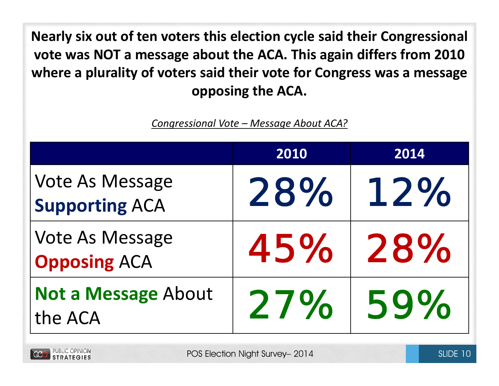**Nearly six out of ten voters this election cycle said their Congressional vote was NOT <sup>a</sup> message about the ACA. This again differs from 2010 where <sup>a</sup> plurality of voters said their vote for Congress was <sup>a</sup> message opposing the ACA.**

*Congressional Vote – Message About ACA?*

|                                                 | 2010 | 2014 |
|-------------------------------------------------|------|------|
| <b>Vote As Message</b><br><b>Supporting ACA</b> | 28%  | 12%  |
| <b>Vote As Message</b><br><b>Opposing ACA</b>   | 45%  | 28%  |
| <b>Not a Message About</b><br>the ACA           | 27%  | 59%  |

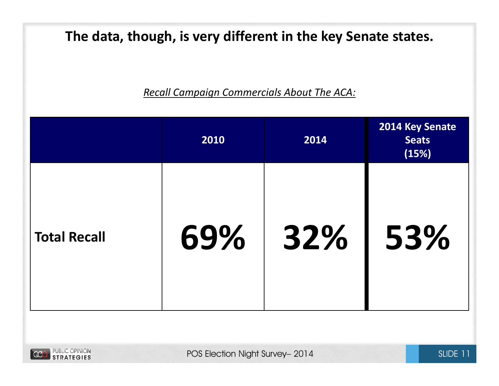**The data, though, is very different in the key Senate states.**

*Recall Campaign Commercials About The ACA:*

|                     | 2010 | 2014 | 2014 Key Senate<br><b>Seats</b><br>(15%) |
|---------------------|------|------|------------------------------------------|
| <b>Total Recall</b> | 69%  | 32%  | 53%                                      |

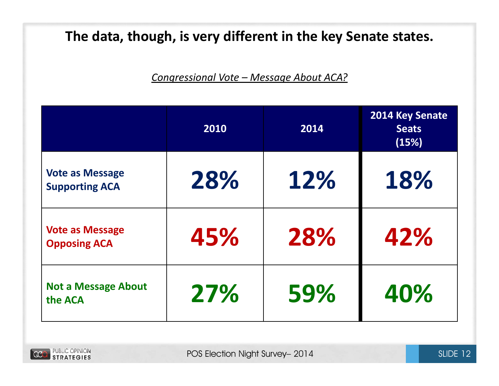#### **The data, though, is very different in the key Senate states.**

*Congressional Vote – Message About ACA?*

|                                                 | 2010 | 2014 | 2014 Key Senate<br><b>Seats</b><br>(15%) |
|-------------------------------------------------|------|------|------------------------------------------|
| <b>Vote as Message</b><br><b>Supporting ACA</b> | 28%  | 12%  | 18%                                      |
| <b>Vote as Message</b><br><b>Opposing ACA</b>   | 45%  | 28%  | 42%                                      |
| <b>Not a Message About</b><br>the ACA           | 27%  | 59%  | 40%                                      |